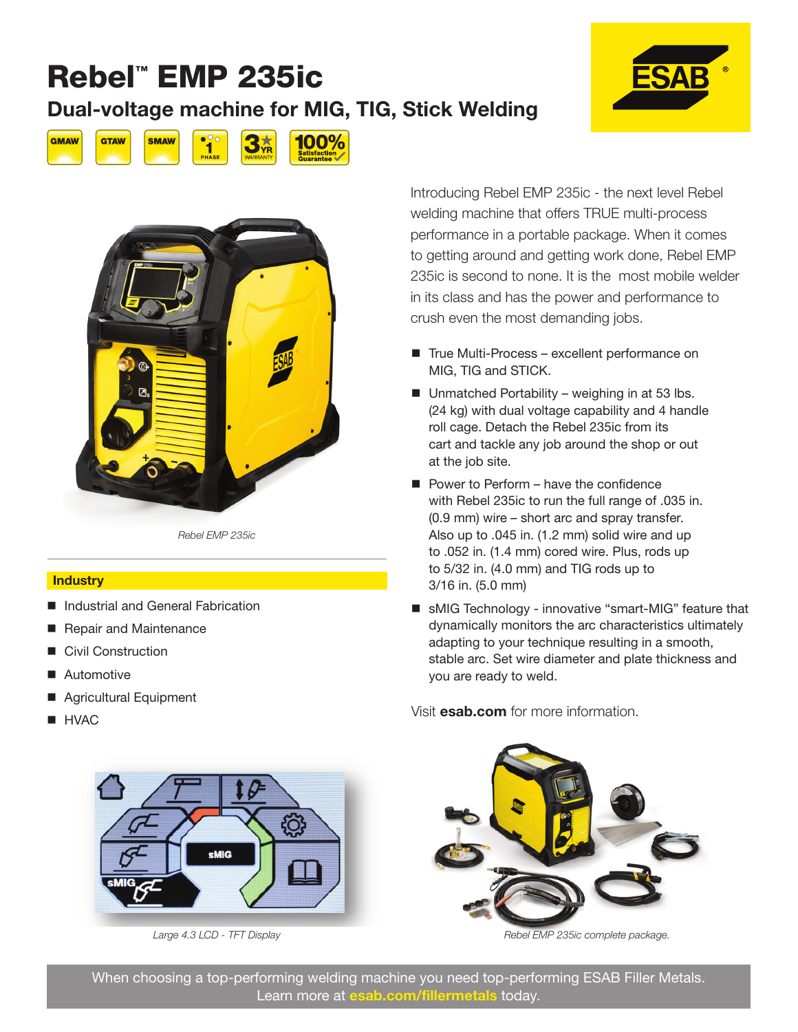### Rebel™ EMP 235ic Dual-voltage machine for MIG, TIG, Stick Welding







*Rebel EMP 235ic*

#### **Industry**

- Industrial and General Fabrication
- Repair and Maintenance
- Civil Construction
- Automotive
- Agricultural Equipment
- 



*Large 4.3 LCD - TFT Display*

Introducing Rebel EMP 235ic - the next level Rebel welding machine that offers TRUE multi-process performance in a portable package. When it comes to getting around and getting work done, Rebel EMP 235ic is second to none. It is the most mobile welder in its class and has the power and performance to crush even the most demanding jobs.

- True Multi-Process excellent performance on MIG, TIG and STICK.
- $\blacksquare$  Unmatched Portability weighing in at 53 lbs. (24 kg) with dual voltage capability and 4 handle roll cage. Detach the Rebel 235ic from its cart and tackle any job around the shop or out at the job site.
- **Power to Perform have the confidence** with Rebel 235ic to run the full range of .035 in. (0.9 mm) wire – short arc and spray transfer. Also up to .045 in. (1.2 mm) solid wire and up to .052 in. (1.4 mm) cored wire. Plus, rods up to 5/32 in. (4.0 mm) and TIG rods up to 3/16 in. (5.0 mm)
- sMIG Technology innovative "smart-MIG" feature that dynamically monitors the arc characteristics ultimately adapting to your technique resulting in a smooth, stable arc. Set wire diameter and plate thickness and you are ready to weld.

■ HVAC ■ HVAC



*Rebel EMP 235ic complete package.*

When choosing a top-performing welding machine you need top-performing ESAB Filler Metals. Learn more at esab.com/fillermetals today.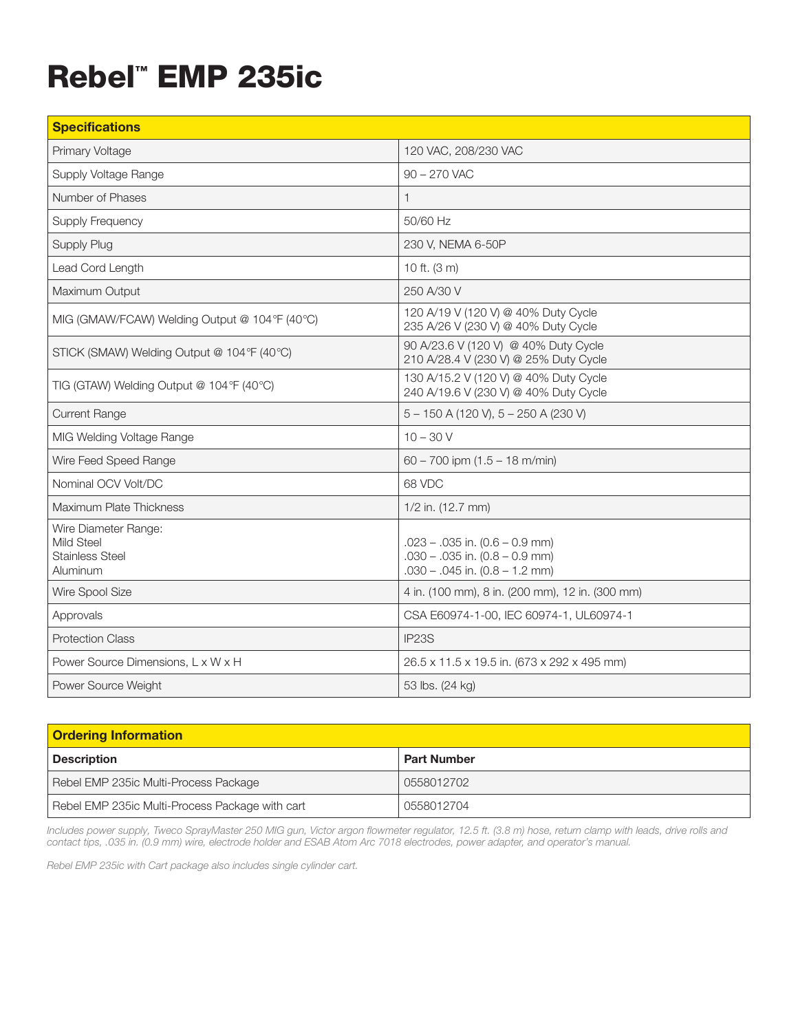## Rebel™ EMP 235ic

| <b>Specifications</b>                                                    |                                                                                                                |
|--------------------------------------------------------------------------|----------------------------------------------------------------------------------------------------------------|
| Primary Voltage                                                          | 120 VAC, 208/230 VAC                                                                                           |
| Supply Voltage Range                                                     | $90 - 270$ VAC                                                                                                 |
| Number of Phases                                                         | $\mathbf{1}$                                                                                                   |
| <b>Supply Frequency</b>                                                  | 50/60 Hz                                                                                                       |
| Supply Plug                                                              | 230 V, NEMA 6-50P                                                                                              |
| Lead Cord Length                                                         | 10 ft. (3 m)                                                                                                   |
| Maximum Output                                                           | 250 A/30 V                                                                                                     |
| MIG (GMAW/FCAW) Welding Output @ 104°F (40°C)                            | 120 A/19 V (120 V) @ 40% Duty Cycle<br>235 A/26 V (230 V) @ 40% Duty Cycle                                     |
| STICK (SMAW) Welding Output @ 104°F (40°C)                               | 90 A/23.6 V (120 V) @ 40% Duty Cycle<br>210 A/28.4 V (230 V) @ 25% Duty Cycle                                  |
| TIG (GTAW) Welding Output @ 104°F (40°C)                                 | 130 A/15.2 V (120 V) @ 40% Duty Cycle<br>240 A/19.6 V (230 V) @ 40% Duty Cycle                                 |
| <b>Current Range</b>                                                     | $5 - 150$ A (120 V), $5 - 250$ A (230 V)                                                                       |
| MIG Welding Voltage Range                                                | $10 - 30V$                                                                                                     |
| Wire Feed Speed Range                                                    | 60 - 700 ipm $(1.5 - 18$ m/min)                                                                                |
| Nominal OCV Volt/DC                                                      | 68 VDC                                                                                                         |
| Maximum Plate Thickness                                                  | 1/2 in. (12.7 mm)                                                                                              |
| Wire Diameter Range:<br>Mild Steel<br><b>Stainless Steel</b><br>Aluminum | $.023 - .035$ in. $(0.6 - 0.9$ mm)<br>$.030 - .035$ in. $(0.8 - 0.9$ mm)<br>$.030 - .045$ in. $(0.8 - 1.2$ mm) |
| Wire Spool Size                                                          | 4 in. (100 mm), 8 in. (200 mm), 12 in. (300 mm)                                                                |
| Approvals                                                                | CSA E60974-1-00, IEC 60974-1, UL60974-1                                                                        |
| <b>Protection Class</b>                                                  | IP <sub>23</sub> S                                                                                             |
| Power Source Dimensions, L x W x H                                       | 26.5 x 11.5 x 19.5 in. (673 x 292 x 495 mm)                                                                    |
| Power Source Weight                                                      | 53 lbs. (24 kg)                                                                                                |

| <b>Ordering Information</b>                     |                    |  |
|-------------------------------------------------|--------------------|--|
| <b>Description</b>                              | <b>Part Number</b> |  |
| Rebel EMP 235ic Multi-Process Package           | 0558012702         |  |
| Rebel EMP 235ic Multi-Process Package with cart | 0558012704         |  |

*Includes power supply, Tweco SprayMaster 250 MIG gun, Victor argon flowmeter regulator, 12.5 ft. (3.8 m) hose, return clamp with leads, drive rolls and contact tips, .035 in. (0.9 mm) wire, electrode holder and ESAB Atom Arc 7018 electrodes, power adapter, and operator's manual.*

*Rebel EMP 235ic with Cart package also includes single cylinder cart.*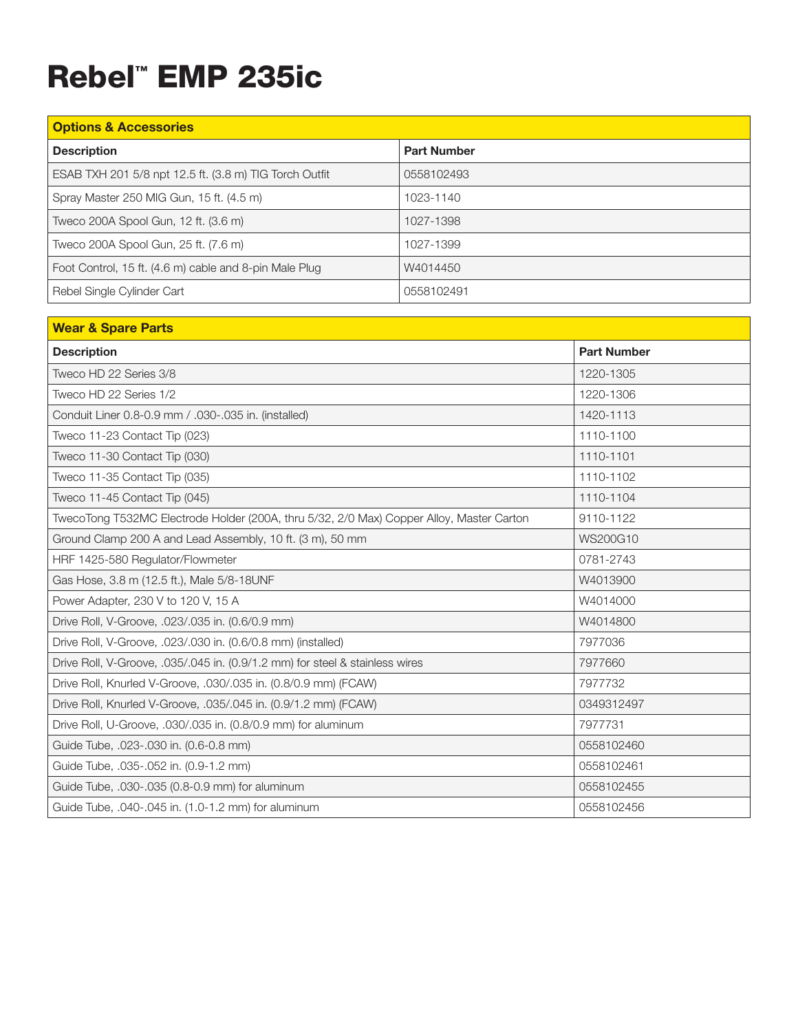# Rebel™ EMP 235ic

| <b>Options &amp; Accessories</b>                       |                    |  |
|--------------------------------------------------------|--------------------|--|
| <b>Description</b>                                     | <b>Part Number</b> |  |
| ESAB TXH 201 5/8 npt 12.5 ft. (3.8 m) TIG Torch Outfit | 0558102493         |  |
| Spray Master 250 MIG Gun, 15 ft. (4.5 m)               | 1023-1140          |  |
| Tweco 200A Spool Gun, 12 ft. (3.6 m)                   | 1027-1398          |  |
| Tweco 200A Spool Gun, 25 ft. (7.6 m)                   | 1027-1399          |  |
| Foot Control, 15 ft. (4.6 m) cable and 8-pin Male Plug | W4014450           |  |
| Rebel Single Cylinder Cart                             | 0558102491         |  |

| <b>Wear &amp; Spare Parts</b>                                                            |                    |
|------------------------------------------------------------------------------------------|--------------------|
| <b>Description</b>                                                                       | <b>Part Number</b> |
| Tweco HD 22 Series 3/8                                                                   | 1220-1305          |
| Tweco HD 22 Series 1/2                                                                   | 1220-1306          |
| Conduit Liner 0.8-0.9 mm / .030-.035 in. (installed)                                     | 1420-1113          |
| Tweco 11-23 Contact Tip (023)                                                            | 1110-1100          |
| Tweco 11-30 Contact Tip (030)                                                            | 1110-1101          |
| Tweco 11-35 Contact Tip (035)                                                            | 1110-1102          |
| Tweco 11-45 Contact Tip (045)                                                            | 1110-1104          |
| TwecoTong T532MC Electrode Holder (200A, thru 5/32, 2/0 Max) Copper Alloy, Master Carton | 9110-1122          |
| Ground Clamp 200 A and Lead Assembly, 10 ft. (3 m), 50 mm                                | WS200G10           |
| HRF 1425-580 Regulator/Flowmeter                                                         | 0781-2743          |
| Gas Hose, 3.8 m (12.5 ft.), Male 5/8-18UNF                                               | W4013900           |
| Power Adapter, 230 V to 120 V, 15 A                                                      | W4014000           |
| Drive Roll, V-Groove, .023/.035 in. (0.6/0.9 mm)                                         | W4014800           |
| Drive Roll, V-Groove, .023/.030 in. (0.6/0.8 mm) (installed)                             | 7977036            |
| Drive Roll, V-Groove, .035/.045 in. (0.9/1.2 mm) for steel & stainless wires             | 7977660            |
| Drive Roll, Knurled V-Groove, .030/.035 in. (0.8/0.9 mm) (FCAW)                          | 7977732            |
| Drive Roll, Knurled V-Groove, .035/.045 in. (0.9/1.2 mm) (FCAW)                          | 0349312497         |
| Drive Roll, U-Groove, .030/.035 in. (0.8/0.9 mm) for aluminum                            | 7977731            |
| Guide Tube, .023-.030 in. (0.6-0.8 mm)                                                   | 0558102460         |
| Guide Tube, .035-.052 in. (0.9-1.2 mm)                                                   | 0558102461         |
| Guide Tube, .030-.035 (0.8-0.9 mm) for aluminum                                          | 0558102455         |
| Guide Tube, .040-.045 in. (1.0-1.2 mm) for aluminum                                      | 0558102456         |